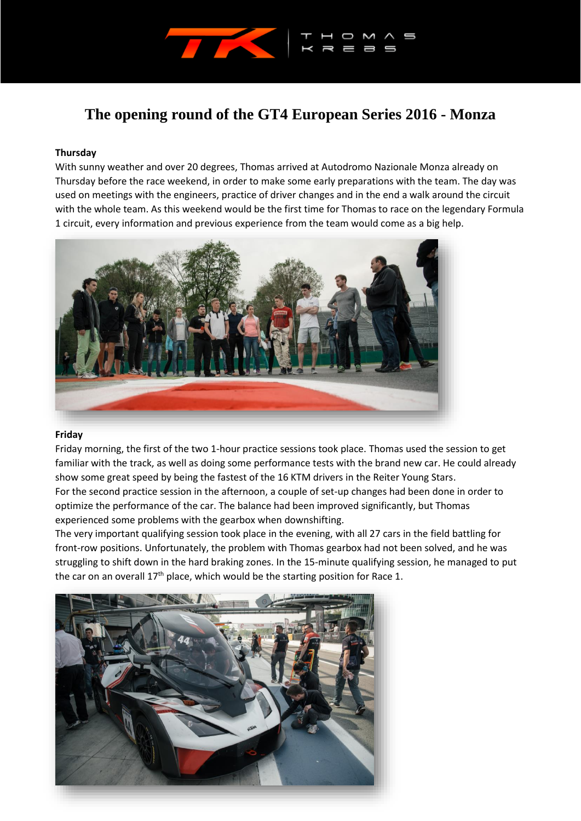

# **The opening round of the GT4 European Series 2016 - Monza**

# **Thursday**

With sunny weather and over 20 degrees, Thomas arrived at Autodromo Nazionale Monza already on Thursday before the race weekend, in order to make some early preparations with the team. The day was used on meetings with the engineers, practice of driver changes and in the end a walk around the circuit with the whole team. As this weekend would be the first time for Thomas to race on the legendary Formula 1 circuit, every information and previous experience from the team would come as a big help.



### **Friday**

Friday morning, the first of the two 1-hour practice sessions took place. Thomas used the session to get familiar with the track, as well as doing some performance tests with the brand new car. He could already show some great speed by being the fastest of the 16 KTM drivers in the Reiter Young Stars. For the second practice session in the afternoon, a couple of set-up changes had been done in order to optimize the performance of the car. The balance had been improved significantly, but Thomas experienced some problems with the gearbox when downshifting.

The very important qualifying session took place in the evening, with all 27 cars in the field battling for front-row positions. Unfortunately, the problem with Thomas gearbox had not been solved, and he was struggling to shift down in the hard braking zones. In the 15-minute qualifying session, he managed to put the car on an overall  $17<sup>th</sup>$  place, which would be the starting position for Race 1.

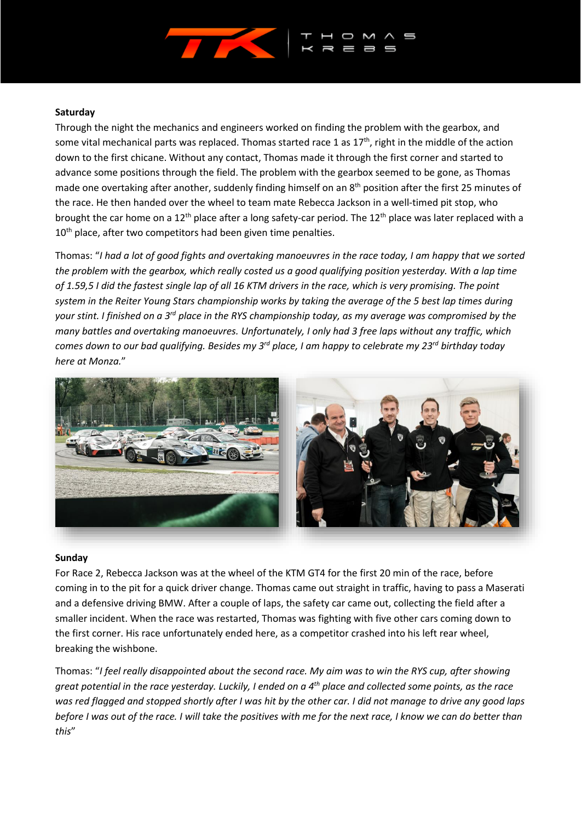

## **Saturday**

Through the night the mechanics and engineers worked on finding the problem with the gearbox, and some vital mechanical parts was replaced. Thomas started race 1 as 17<sup>th</sup>, right in the middle of the action down to the first chicane. Without any contact, Thomas made it through the first corner and started to advance some positions through the field. The problem with the gearbox seemed to be gone, as Thomas made one overtaking after another, suddenly finding himself on an 8<sup>th</sup> position after the first 25 minutes of the race. He then handed over the wheel to team mate Rebecca Jackson in a well-timed pit stop, who brought the car home on a 12<sup>th</sup> place after a long safety-car period. The 12<sup>th</sup> place was later replaced with a  $10<sup>th</sup>$  place, after two competitors had been given time penalties.

Thomas: "*I had a lot of good fights and overtaking manoeuvres in the race today, I am happy that we sorted the problem with the gearbox, which really costed us a good qualifying position yesterday. With a lap time of 1.59,5 I did the fastest single lap of all 16 KTM drivers in the race, which is very promising. The point system in the Reiter Young Stars championship works by taking the average of the 5 best lap times during your stint. I finished on a 3rd place in the RYS championship today, as my average was compromised by the many battles and overtaking manoeuvres. Unfortunately, I only had 3 free laps without any traffic, which comes down to our bad qualifying. Besides my 3 rd place, I am happy to celebrate my 23rd birthday today here at Monza.*"



### **Sunday**

For Race 2, Rebecca Jackson was at the wheel of the KTM GT4 for the first 20 min of the race, before coming in to the pit for a quick driver change. Thomas came out straight in traffic, having to pass a Maserati and a defensive driving BMW. After a couple of laps, the safety car came out, collecting the field after a smaller incident. When the race was restarted, Thomas was fighting with five other cars coming down to the first corner. His race unfortunately ended here, as a competitor crashed into his left rear wheel, breaking the wishbone.

Thomas: "*I feel really disappointed about the second race. My aim was to win the RYS cup, after showing great potential in the race yesterday. Luckily, I ended on a 4th place and collected some points, as the race was red flagged and stopped shortly after I was hit by the other car. I did not manage to drive any good laps before I was out of the race. I will take the positives with me for the next race, I know we can do better than this*"